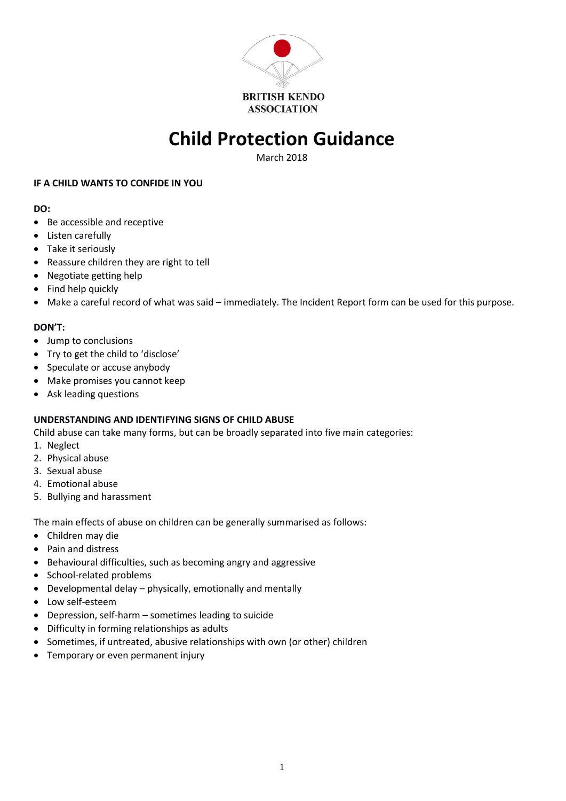

# **Child Protection Guidance**

March 2018

## **IF A CHILD WANTS TO CONFIDE IN YOU**

## **DO:**

- Be accessible and receptive
- Listen carefully
- Take it seriously
- Reassure children they are right to tell
- Negotiate getting help
- Find help quickly
- Make a careful record of what was said immediately. The Incident Report form can be used for this purpose.

# **DON'T:**

- Jump to conclusions
- Try to get the child to 'disclose'
- Speculate or accuse anybody
- Make promises you cannot keep
- Ask leading questions

# **UNDERSTANDING AND IDENTIFYING SIGNS OF CHILD ABUSE**

Child abuse can take many forms, but can be broadly separated into five main categories:

- 1. Neglect
- 2. Physical abuse
- 3. Sexual abuse
- 4. Emotional abuse
- 5. Bullying and harassment

The main effects of abuse on children can be generally summarised as follows:

- Children may die
- Pain and distress
- Behavioural difficulties, such as becoming angry and aggressive
- School-related problems
- Developmental delay physically, emotionally and mentally
- Low self-esteem
- Depression, self-harm sometimes leading to suicide
- Difficulty in forming relationships as adults
- Sometimes, if untreated, abusive relationships with own (or other) children
- Temporary or even permanent injury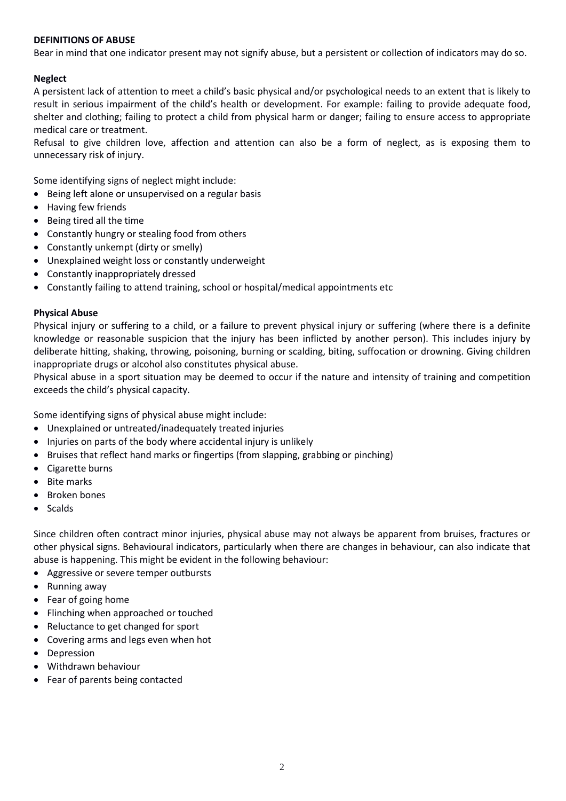# **DEFINITIONS OF ABUSE**

Bear in mind that one indicator present may not signify abuse, but a persistent or collection of indicators may do so.

# **Neglect**

A persistent lack of attention to meet a child's basic physical and/or psychological needs to an extent that is likely to result in serious impairment of the child's health or development. For example: failing to provide adequate food, shelter and clothing; failing to protect a child from physical harm or danger; failing to ensure access to appropriate medical care or treatment.

Refusal to give children love, affection and attention can also be a form of neglect, as is exposing them to unnecessary risk of injury.

Some identifying signs of neglect might include:

- Being left alone or unsupervised on a regular basis
- Having few friends
- Being tired all the time
- Constantly hungry or stealing food from others
- Constantly unkempt (dirty or smelly)
- Unexplained weight loss or constantly underweight
- Constantly inappropriately dressed
- Constantly failing to attend training, school or hospital/medical appointments etc

#### **Physical Abuse**

Physical injury or suffering to a child, or a failure to prevent physical injury or suffering (where there is a definite knowledge or reasonable suspicion that the injury has been inflicted by another person). This includes injury by deliberate hitting, shaking, throwing, poisoning, burning or scalding, biting, suffocation or drowning. Giving children inappropriate drugs or alcohol also constitutes physical abuse.

Physical abuse in a sport situation may be deemed to occur if the nature and intensity of training and competition exceeds the child's physical capacity.

Some identifying signs of physical abuse might include:

- Unexplained or untreated/inadequately treated injuries
- Injuries on parts of the body where accidental injury is unlikely
- Bruises that reflect hand marks or fingertips (from slapping, grabbing or pinching)
- Cigarette burns
- Bite marks
- Broken bones
- Scalds

Since children often contract minor injuries, physical abuse may not always be apparent from bruises, fractures or other physical signs. Behavioural indicators, particularly when there are changes in behaviour, can also indicate that abuse is happening. This might be evident in the following behaviour:

- Aggressive or severe temper outbursts
- Running away
- Fear of going home
- Flinching when approached or touched
- Reluctance to get changed for sport
- Covering arms and legs even when hot
- Depression
- Withdrawn behaviour
- Fear of parents being contacted